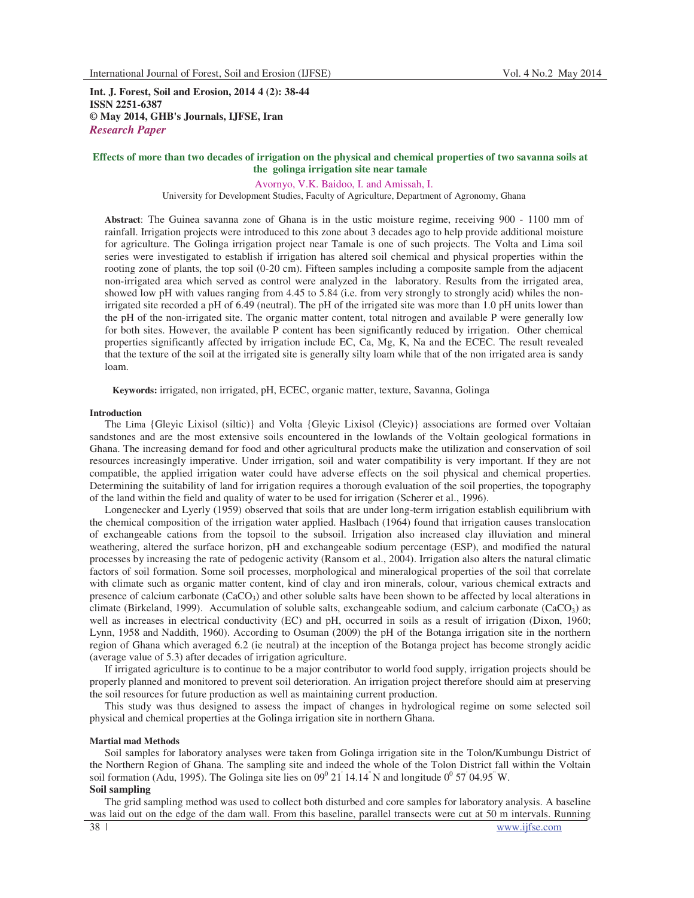**Int. J. Forest, Soil and Erosion, 2014 4 (2): 38-44 ISSN 2251-6387 © May 2014, GHB's Journals, IJFSE, Iran** *Research Paper*

## **Effects of more than two decades of irrigation on the physical and chemical properties of two savanna soils at the golinga irrigation site near tamale**

Avornyo, V.K. Baidoo, I. and Amissah, I.

University for Development Studies, Faculty of Agriculture, Department of Agronomy, Ghana

**Abstract**: The Guinea savanna zone of Ghana is in the ustic moisture regime, receiving 900 - 1100 mm of rainfall. Irrigation projects were introduced to this zone about 3 decades ago to help provide additional moisture for agriculture. The Golinga irrigation project near Tamale is one of such projects. The Volta and Lima soil series were investigated to establish if irrigation has altered soil chemical and physical properties within the rooting zone of plants, the top soil (0-20 cm). Fifteen samples including a composite sample from the adjacent non-irrigated area which served as control were analyzed in the laboratory. Results from the irrigated area, showed low pH with values ranging from 4.45 to 5.84 (i.e. from very strongly to strongly acid) whiles the nonirrigated site recorded a pH of 6.49 (neutral). The pH of the irrigated site was more than 1.0 pH units lower than the pH of the non-irrigated site. The organic matter content, total nitrogen and available P were generally low for both sites. However, the available P content has been significantly reduced by irrigation. Other chemical properties significantly affected by irrigation include EC, Ca, Mg, K, Na and the ECEC. The result revealed that the texture of the soil at the irrigated site is generally silty loam while that of the non irrigated area is sandy loam.

**Keywords:** irrigated, non irrigated, pH, ECEC, organic matter, texture, Savanna, Golinga

## **Introduction**

The Lima {Gleyic Lixisol (siltic)} and Volta {Gleyic Lixisol (Cleyic)} associations are formed over Voltaian sandstones and are the most extensive soils encountered in the lowlands of the Voltain geological formations in Ghana. The increasing demand for food and other agricultural products make the utilization and conservation of soil resources increasingly imperative. Under irrigation, soil and water compatibility is very important. If they are not compatible, the applied irrigation water could have adverse effects on the soil physical and chemical properties. Determining the suitability of land for irrigation requires a thorough evaluation of the soil properties, the topography of the land within the field and quality of water to be used for irrigation (Scherer et al., 1996).

Longenecker and Lyerly (1959) observed that soils that are under long-term irrigation establish equilibrium with the chemical composition of the irrigation water applied. Haslbach (1964) found that irrigation causes translocation of exchangeable cations from the topsoil to the subsoil. Irrigation also increased clay illuviation and mineral weathering, altered the surface horizon, pH and exchangeable sodium percentage (ESP), and modified the natural processes by increasing the rate of pedogenic activity (Ransom et al., 2004). Irrigation also alters the natural climatic factors of soil formation. Some soil processes, morphological and mineralogical properties of the soil that correlate with climate such as organic matter content, kind of clay and iron minerals, colour, various chemical extracts and presence of calcium carbonate  $(CaCO<sub>3</sub>)$  and other soluble salts have been shown to be affected by local alterations in climate (Birkeland, 1999). Accumulation of soluble salts, exchangeable sodium, and calcium carbonate (CaCO<sub>3</sub>) as well as increases in electrical conductivity (EC) and pH, occurred in soils as a result of irrigation (Dixon, 1960; Lynn, 1958 and Naddith, 1960). According to Osuman (2009) the pH of the Botanga irrigation site in the northern region of Ghana which averaged 6.2 (ie neutral) at the inception of the Botanga project has become strongly acidic (average value of 5.3) after decades of irrigation agriculture.

If irrigated agriculture is to continue to be a major contributor to world food supply, irrigation projects should be properly planned and monitored to prevent soil deterioration. An irrigation project therefore should aim at preserving the soil resources for future production as well as maintaining current production.

This study was thus designed to assess the impact of changes in hydrological regime on some selected soil physical and chemical properties at the Golinga irrigation site in northern Ghana.

### **Martial mad Methods**

Soil samples for laboratory analyses were taken from Golinga irrigation site in the Tolon/Kumbungu District of the Northern Region of Ghana. The sampling site and indeed the whole of the Tolon District fall within the Voltain soil formation (Adu, 1995). The Golinga site lies on  $09^{\circ}$  21 | 14.14" N and longitude  $0^{\circ}$  57 | 04.95" W.

## **Soil sampling**

The grid sampling method was used to collect both disturbed and core samples for laboratory analysis. A baseline was laid out on the edge of the dam wall. From this baseline, parallel transects were cut at 50 m intervals. Running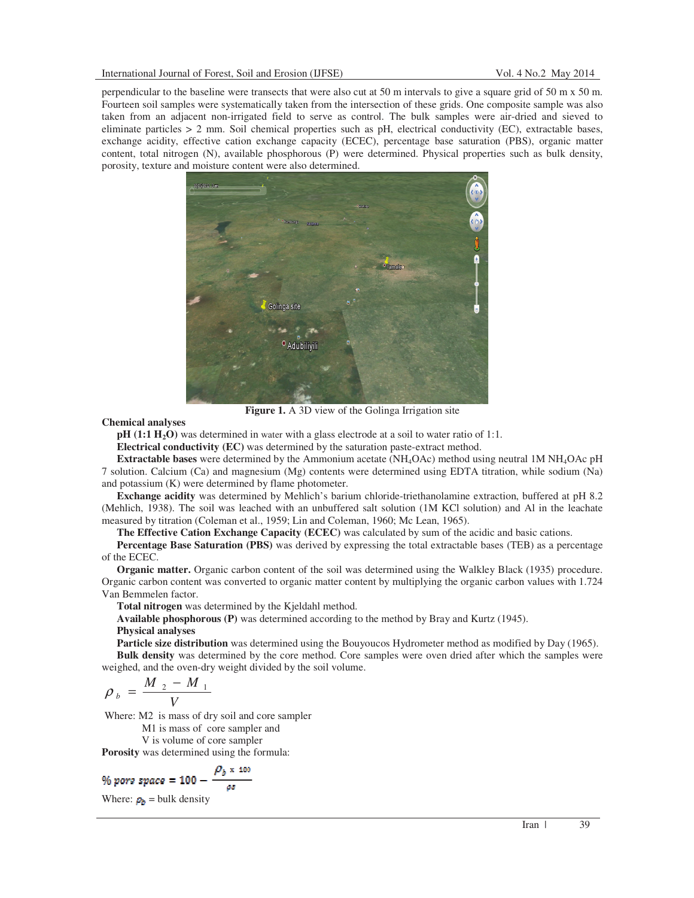perpendicular to the baseline were transects that were also cut at 50 m intervals to give a square grid of 50 m x 50 m. Fourteen soil samples were systematically taken from the intersection of these grids. One composite sample was also taken from an adjacent non-irrigated field to serve as control. The bulk samples were air-dried and sieved to eliminate particles  $> 2$  mm. Soil chemical properties such as pH, electrical conductivity (EC), extractable bases, exchange acidity, effective cation exchange capacity (ECEC), percentage base saturation (PBS), organic matter content, total nitrogen (N), available phosphorous (P) were determined. Physical properties such as bulk density, porosity, texture and moisture content were also determined.



**Figure 1.** A 3D view of the Golinga Irrigation site

## **Chemical analyses**

**pH (1:1 H2O)** was determined in water with a glass electrode at a soil to water ratio of 1:1.

**Electrical conductivity (EC)** was determined by the saturation paste-extract method.

**Extractable bases** were determined by the Ammonium acetate (NH4OAc) method using neutral 1M NH4OAc pH 7 solution. Calcium (Ca) and magnesium (Mg) contents were determined using EDTA titration, while sodium (Na) and potassium (K) were determined by flame photometer.

**Exchange acidity** was determined by Mehlich's barium chloride-triethanolamine extraction, buffered at pH 8.2 (Mehlich, 1938). The soil was leached with an unbuffered salt solution (1M KCl solution) and Al in the leachate measured by titration (Coleman et al., 1959; Lin and Coleman, 1960; Mc Lean, 1965).

**The Effective Cation Exchange Capacity (ECEC)** was calculated by sum of the acidic and basic cations.

**Percentage Base Saturation (PBS)** was derived by expressing the total extractable bases (TEB) as a percentage of the ECEC.

**Organic matter.** Organic carbon content of the soil was determined using the Walkley Black (1935) procedure. Organic carbon content was converted to organic matter content by multiplying the organic carbon values with 1.724 Van Bemmelen factor.

**Total nitrogen** was determined by the Kjeldahl method.

**Available phosphorous (P)** was determined according to the method by Bray and Kurtz (1945).

# **Physical analyses**

**Particle size distribution** was determined using the Bouyoucos Hydrometer method as modified by Day (1965).

**Bulk density** was determined by the core method. Core samples were oven dried after which the samples were weighed, and the oven-dry weight divided by the soil volume.

$$
\rho_{b} = \frac{M_{2} - M_{1}}{V}
$$

Where: M2 is mass of dry soil and core sampler

M1 is mass of core sampler and

V is volume of core sampler

**Porosity** was determined using the formula:

$$
\frac{\rho_b}{\text{pore space}} = 100 - \frac{\rho_b \times 100}{\rho s}
$$

Where:  $\rho_b$  = bulk density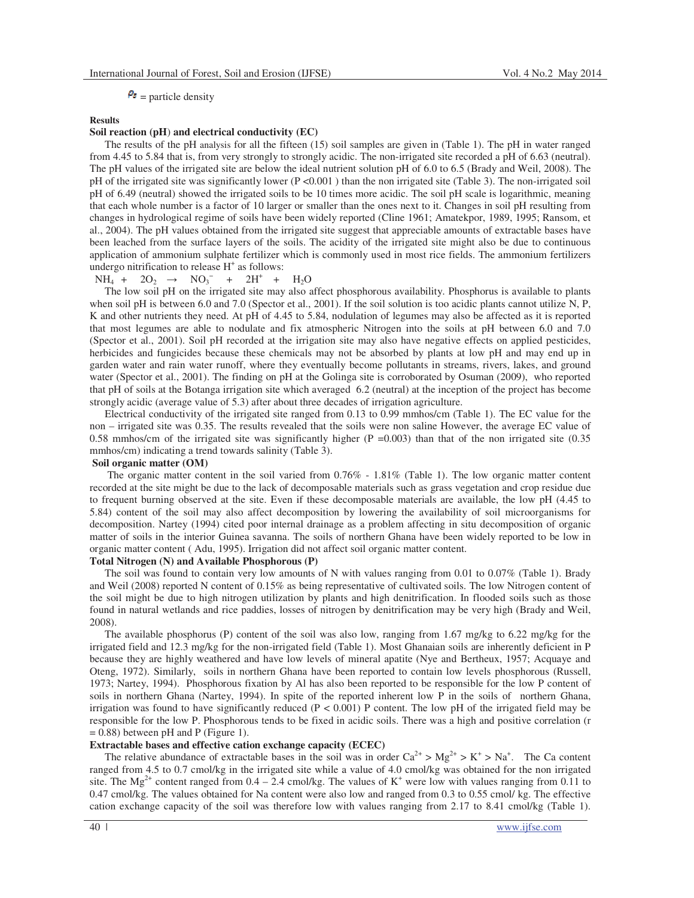# $P_s$  = particle density

## **Results**

## **Soil reaction (pH**) **and electrical conductivity (EC)**

The results of the pH analysis for all the fifteen (15) soil samples are given in (Table 1). The pH in water ranged from 4.45 to 5.84 that is, from very strongly to strongly acidic. The non-irrigated site recorded a pH of 6.63 (neutral). The pH values of the irrigated site are below the ideal nutrient solution pH of 6.0 to 6.5 (Brady and Weil, 2008). The pH of the irrigated site was significantly lower (P <0.001 ) than the non irrigated site (Table 3). The non-irrigated soil pH of 6.49 (neutral) showed the irrigated soils to be 10 times more acidic. The soil pH scale is logarithmic, meaning that each whole number is a factor of 10 larger or smaller than the ones next to it. Changes in soil pH resulting from changes in hydrological regime of soils have been widely reported (Cline 1961; Amatekpor, 1989, 1995; Ransom, et al., 2004). The pH values obtained from the irrigated site suggest that appreciable amounts of extractable bases have been leached from the surface layers of the soils. The acidity of the irrigated site might also be due to continuous application of ammonium sulphate fertilizer which is commonly used in most rice fields. The ammonium fertilizers undergo nitrification to release  $H^+$  as follows:

 $NH_4 + 2O_2 \rightarrow NO_3^- + 2H^+ + H_2O$ 

The low soil pH on the irrigated site may also affect phosphorous availability. Phosphorus is available to plants when soil pH is between 6.0 and 7.0 (Spector et al., 2001). If the soil solution is too acidic plants cannot utilize N, P, K and other nutrients they need. At pH of 4.45 to 5.84, nodulation of legumes may also be affected as it is reported that most legumes are able to nodulate and fix atmospheric Nitrogen into the soils at pH between 6.0 and 7.0 (Spector et al., 2001). Soil pH recorded at the irrigation site may also have negative effects on applied pesticides, herbicides and fungicides because these chemicals may not be absorbed by plants at low pH and may end up in garden water and rain water runoff, where they eventually become pollutants in streams, rivers, lakes, and ground water (Spector et al., 2001). The finding on pH at the Golinga site is corroborated by Osuman (2009), who reported that pH of soils at the Botanga irrigation site which averaged 6.2 (neutral) at the inception of the project has become strongly acidic (average value of 5.3) after about three decades of irrigation agriculture.

Electrical conductivity of the irrigated site ranged from 0.13 to 0.99 mmhos/cm (Table 1). The EC value for the non – irrigated site was 0.35. The results revealed that the soils were non saline However, the average EC value of 0.58 mmhos/cm of the irrigated site was significantly higher  $(P = 0.003)$  than that of the non irrigated site (0.35) mmhos/cm) indicating a trend towards salinity (Table 3).

### **Soil organic matter (OM)**

 The organic matter content in the soil varied from 0.76% - 1.81% (Table 1). The low organic matter content recorded at the site might be due to the lack of decomposable materials such as grass vegetation and crop residue due to frequent burning observed at the site. Even if these decomposable materials are available, the low pH (4.45 to 5.84) content of the soil may also affect decomposition by lowering the availability of soil microorganisms for decomposition. Nartey (1994) cited poor internal drainage as a problem affecting in situ decomposition of organic matter of soils in the interior Guinea savanna. The soils of northern Ghana have been widely reported to be low in organic matter content ( Adu, 1995). Irrigation did not affect soil organic matter content.

### **Total Nitrogen (N) and Available Phosphorous (P)**

The soil was found to contain very low amounts of N with values ranging from 0.01 to 0.07% (Table 1). Brady and Weil (2008) reported N content of 0.15% as being representative of cultivated soils. The low Nitrogen content of the soil might be due to high nitrogen utilization by plants and high denitrification. In flooded soils such as those found in natural wetlands and rice paddies, losses of nitrogen by denitrification may be very high (Brady and Weil, 2008).

The available phosphorus (P) content of the soil was also low, ranging from 1.67 mg/kg to 6.22 mg/kg for the irrigated field and 12.3 mg/kg for the non-irrigated field (Table 1). Most Ghanaian soils are inherently deficient in P because they are highly weathered and have low levels of mineral apatite (Nye and Bertheux, 1957; Acquaye and Oteng, 1972). Similarly, soils in northern Ghana have been reported to contain low levels phosphorous (Russell, 1973; Nartey, 1994). Phosphorous fixation by Al has also been reported to be responsible for the low P content of soils in northern Ghana (Nartey, 1994). In spite of the reported inherent low P in the soils of northern Ghana, irrigation was found to have significantly reduced  $(P < 0.001)$  P content. The low pH of the irrigated field may be responsible for the low P. Phosphorous tends to be fixed in acidic soils. There was a high and positive correlation (r  $= 0.88$ ) between pH and P (Figure 1).

#### **Extractable bases and effective cation exchange capacity (ECEC)**

The relative abundance of extractable bases in the soil was in order  $Ca^{2+} > Mg^{2+} > K^+ > Na^+$ . The Ca content ranged from 4.5 to 0.7 cmol/kg in the irrigated site while a value of 4.0 cmol/kg was obtained for the non irrigated site. The  $Mg^{2+}$  content ranged from 0.4 – 2.4 cmol/kg. The values of K<sup>+</sup> were low with values ranging from 0.11 to 0.47 cmol/kg. The values obtained for Na content were also low and ranged from 0.3 to 0.55 cmol/ kg. The effective cation exchange capacity of the soil was therefore low with values ranging from 2.17 to 8.41 cmol/kg (Table 1).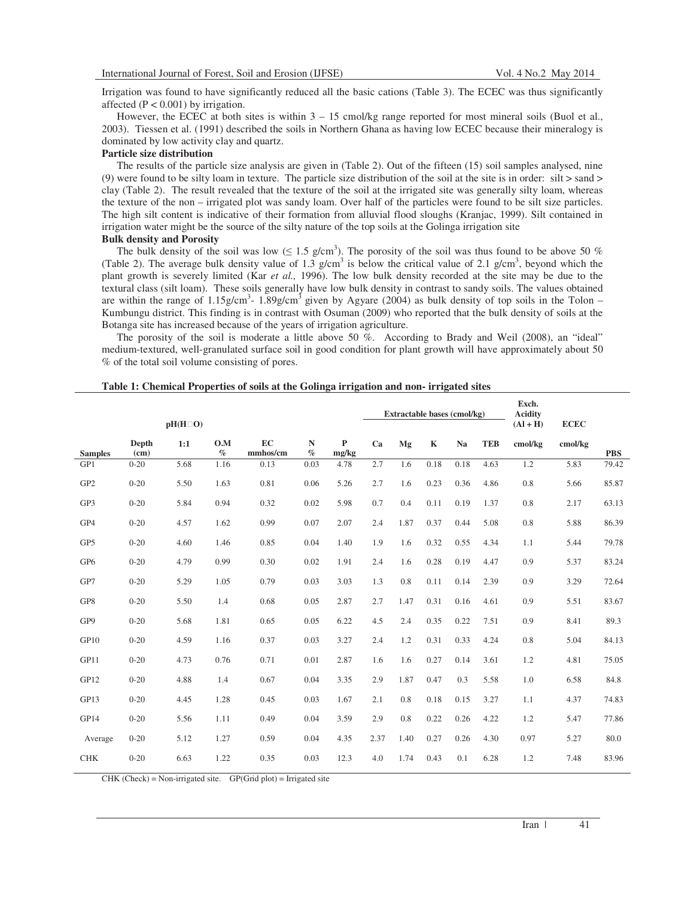Irrigation was found to have significantly reduced all the basic cations (Table 3). The ECEC was thus significantly affected  $(P < 0.001)$  by irrigation.

However, the ECEC at both sites is within  $3 - 15$  cmol/kg range reported for most mineral soils (Buol et al., 2003). Tiessen et al. (1991) described the soils in Northern Ghana as having low ECEC because their mineralogy is dominated by low activity clay and quartz.

## **Particle size distribution**

The results of the particle size analysis are given in (Table 2). Out of the fifteen (15) soil samples analysed, nine (9) were found to be silty loam in texture. The particle size distribution of the soil at the site is in order:  $silt > sand >$ clay (Table 2). The result revealed that the texture of the soil at the irrigated site was generally silty loam, whereas the texture of the non – irrigated plot was sandy loam. Over half of the particles were found to be silt size particles. The high silt content is indicative of their formation from alluvial flood sloughs (Kranjac, 1999). Silt contained in irrigation water might be the source of the silty nature of the top soils at the Golinga irrigation site **Bulk density and Porosity** 

The bulk density of the soil was low ( $\leq 1.5$  g/cm<sup>3</sup>). The porosity of the soil was thus found to be above 50 % (Table 2). The average bulk density value of 1.3 g/cm<sup>3</sup> is below the critical value of 2.1 g/cm<sup>3</sup>, beyond which the plant growth is severely limited (Kar *et al.,* 1996). The low bulk density recorded at the site may be due to the textural class (silt loam). These soils generally have low bulk density in contrast to sandy soils. The values obtained are within the range of  $1.15$ g/cm<sup>3</sup> -  $1.89$ g/cm<sup>3</sup> given by Agyare (2004) as bulk density of top soils in the Tolon – Kumbungu district. This finding is in contrast with Osuman (2009) who reported that the bulk density of soils at the Botanga site has increased because of the years of irrigation agriculture.

The porosity of the soil is moderate a little above 50 %. According to Brady and Weil (2008), an "ideal" medium-textured, well-granulated surface soil in good condition for plant growth will have approximately about 50 % of the total soil volume consisting of pores.

|  |  | Table 1: Chemical Properties of soils at the Golinga irrigation and non-irrigated sites |
|--|--|-----------------------------------------------------------------------------------------|
|  |  |                                                                                         |

| $pH(H$ O)       |               |      |             |                | Extractable bases (cmol/kg) |                       |      |      | Exch.<br><b>Acidity</b><br>$(Al + H)$ | <b>ECEC</b> |            |         |         |            |
|-----------------|---------------|------|-------------|----------------|-----------------------------|-----------------------|------|------|---------------------------------------|-------------|------------|---------|---------|------------|
| <b>Samples</b>  | Depth<br>(cm) | 1:1  | O.M<br>$\%$ | EC<br>mmhos/cm | $\mathbf N$<br>$\%$         | $\mathbf{P}$<br>mg/kg | Ca   | Mg   | $\mathbf K$                           | Na          | <b>TEB</b> | cmol/kg | cmol/kg | <b>PBS</b> |
| GP1             | $0 - 20$      | 5.68 | 1.16        | 0.13           | 0.03                        | 4.78                  | 2.7  | 1.6  | 0.18                                  | 0.18        | 4.63       | 1.2     | 5.83    | 79.42      |
| GP <sub>2</sub> | $0 - 20$      | 5.50 | 1.63        | 0.81           | 0.06                        | 5.26                  | 2.7  | 1.6  | 0.23                                  | 0.36        | 4.86       | 0.8     | 5.66    | 85.87      |
| GP3             | $0 - 20$      | 5.84 | 0.94        | 0.32           | 0.02                        | 5.98                  | 0.7  | 0.4  | 0.11                                  | 0.19        | 1.37       | 0.8     | 2.17    | 63.13      |
| GP4             | $0 - 20$      | 4.57 | 1.62        | 0.99           | 0.07                        | 2.07                  | 2.4  | 1.87 | 0.37                                  | 0.44        | 5.08       | 0.8     | 5.88    | 86.39      |
| GP <sub>5</sub> | $0 - 20$      | 4.60 | 1.46        | 0.85           | 0.04                        | 1.40                  | 1.9  | 1.6  | 0.32                                  | 0.55        | 4.34       | 1.1     | 5.44    | 79.78      |
| GP <sub>6</sub> | $0 - 20$      | 4.79 | 0.99        | 0.30           | 0.02                        | 1.91                  | 2.4  | 1.6  | 0.28                                  | 0.19        | 4.47       | 0.9     | 5.37    | 83.24      |
| GP7             | $0 - 20$      | 5.29 | 1.05        | 0.79           | 0.03                        | 3.03                  | 1.3  | 0.8  | 0.11                                  | 0.14        | 2.39       | 0.9     | 3.29    | 72.64      |
| GP8             | $0 - 20$      | 5.50 | 1.4         | 0.68           | 0.05                        | 2.87                  | 2.7  | 1.47 | 0.31                                  | 0.16        | 4.61       | 0.9     | 5.51    | 83.67      |
| GP9             | $0 - 20$      | 5.68 | 1.81        | 0.65           | 0.05                        | 6.22                  | 4.5  | 2.4  | 0.35                                  | 0.22        | 7.51       | 0.9     | 8.41    | 89.3       |
| GP10            | $0 - 20$      | 4.59 | 1.16        | 0.37           | 0.03                        | 3.27                  | 2.4  | 1.2  | 0.31                                  | 0.33        | 4.24       | 0.8     | 5.04    | 84.13      |
| GP11            | $0 - 20$      | 4.73 | 0.76        | 0.71           | 0.01                        | 2.87                  | 1.6  | 1.6  | 0.27                                  | 0.14        | 3.61       | 1.2     | 4.81    | 75.05      |
| GP12            | $0 - 20$      | 4.88 | 1.4         | 0.67           | 0.04                        | 3.35                  | 2.9  | 1.87 | 0.47                                  | 0.3         | 5.58       | 1.0     | 6.58    | 84.8       |
| GP13            | $0 - 20$      | 4.45 | 1.28        | 0.45           | 0.03                        | 1.67                  | 2.1  | 0.8  | 0.18                                  | 0.15        | 3.27       | 1.1     | 4.37    | 74.83      |
| GP14            | $0 - 20$      | 5.56 | 1.11        | 0.49           | 0.04                        | 3.59                  | 2.9  | 0.8  | 0.22                                  | 0.26        | 4.22       | 1.2     | 5.47    | 77.86      |
| Average         | $0 - 20$      | 5.12 | 1.27        | 0.59           | 0.04                        | 4.35                  | 2.37 | 1.40 | 0.27                                  | 0.26        | 4.30       | 0.97    | 5.27    | 80.0       |
| <b>CHK</b>      | $0 - 20$      | 6.63 | 1.22        | 0.35           | 0.03                        | 12.3                  | 4.0  | 1.74 | 0.43                                  | 0.1         | 6.28       | 1.2     | 7.48    | 83.96      |

CHK (Check) = Non-irrigated site. GP(Grid plot) = Irrigated site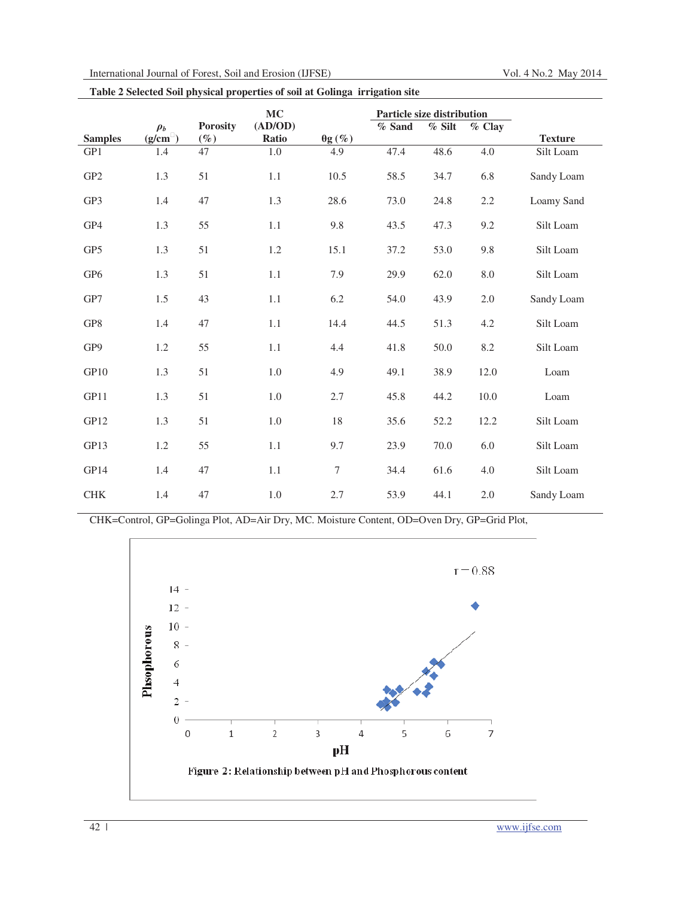| International Journal of Forest, Soil and Erosion (IJFSE) |  |  |  |  |
|-----------------------------------------------------------|--|--|--|--|
|-----------------------------------------------------------|--|--|--|--|

**Table 2 Selected Soil physical properties of soil at Golinga irrigation site** 

|                 |                    |                           | <b>MC</b>        |                          | Particle size distribution |        |            |                |
|-----------------|--------------------|---------------------------|------------------|--------------------------|----------------------------|--------|------------|----------------|
| <b>Samples</b>  | $\rho_b$<br>(g/cm) | <b>Porosity</b><br>$(\%)$ | (AD/OD)<br>Ratio | $\frac{\theta g(\%)}{g}$ | % Sand                     | % Silt | % Clay     | <b>Texture</b> |
| GP1             | 1.4                | $\overline{47}$           | $1.0\,$          | 4.9                      | 47.4                       | 48.6   | 4.0        | Silt Loam      |
| GP <sub>2</sub> | 1.3                | 51                        | 1.1              | 10.5                     | 58.5                       | 34.7   | 6.8        | Sandy Loam     |
| GP3             | 1.4                | 47                        | $1.3\,$          | 28.6                     | 73.0                       | 24.8   | 2.2        | Loamy Sand     |
| GP4             | 1.3                | 55                        | 1.1              | 9.8                      | 43.5                       | 47.3   | 9.2        | Silt Loam      |
| GP <sub>5</sub> | 1.3                | 51                        | 1.2              | 15.1                     | 37.2                       | 53.0   | 9.8        | Silt Loam      |
| GP <sub>6</sub> | 1.3                | 51                        | $1.1\,$          | 7.9                      | 29.9                       | 62.0   | $\ \, 8.0$ | Silt Loam      |
| GP7             | 1.5                | 43                        | 1.1              | 6.2                      | 54.0                       | 43.9   | 2.0        | Sandy Loam     |
| GP8             | 1.4                | 47                        | 1.1              | 14.4                     | 44.5                       | 51.3   | 4.2        | Silt Loam      |
| GP9             | 1.2                | 55                        | 1.1              | 4.4                      | 41.8                       | 50.0   | 8.2        | Silt Loam      |
| GP10            | 1.3                | 51                        | $1.0\,$          | 4.9                      | 49.1                       | 38.9   | 12.0       | Loam           |
| GP11            | 1.3                | 51                        | 1.0              | 2.7                      | 45.8                       | 44.2   | 10.0       | Loam           |
| GP12            | 1.3                | 51                        | 1.0              | 18                       | 35.6                       | 52.2   | 12.2       | Silt Loam      |
| GP13            | 1.2                | 55                        | 1.1              | 9.7                      | 23.9                       | 70.0   | 6.0        | Silt Loam      |
| GP14            | 1.4                | 47                        | 1.1              | $\overline{7}$           | 34.4                       | 61.6   | 4.0        | Silt Loam      |
| ${\rm CHK}$     | 1.4                | 47                        | $1.0\,$          | 2.7                      | 53.9                       | 44.1   | $2.0\,$    | Sandy Loam     |

CHK=Control, GP=Golinga Plot, AD=Air Dry, MC. Moisture Content, OD=Oven Dry, GP=Grid Plot,

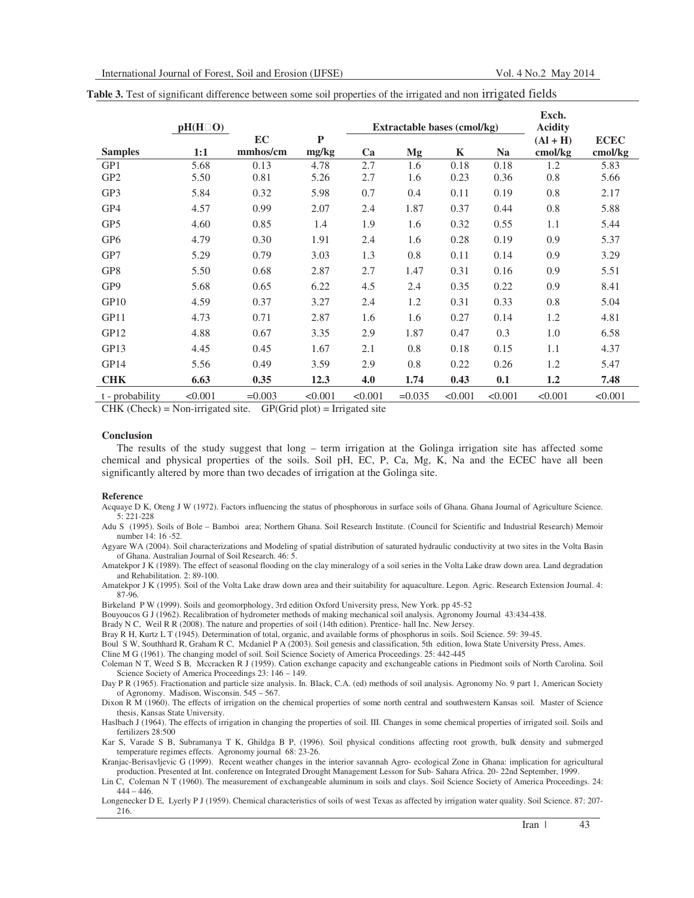|                 |                                    |           |         |         |                             |         |           | Exch.          |             |
|-----------------|------------------------------------|-----------|---------|---------|-----------------------------|---------|-----------|----------------|-------------|
|                 | $\boldsymbol{\mathrm{O}}$<br>pH(H) |           |         |         | Extractable bases (cmol/kg) |         |           | <b>Acidity</b> |             |
|                 |                                    | <b>EC</b> | P       |         |                             |         |           | $(Al + H)$     | <b>ECEC</b> |
| <b>Samples</b>  | 1:1                                | mmhos/cm  | mg/kg   | Ca      | Mg                          | K       | <b>Na</b> | cmol/kg        | cmol/kg     |
| GP1             | 5.68                               | 0.13      | 4.78    | 2.7     | 1.6                         | 0.18    | 0.18      | 1.2            | 5.83        |
| GP <sub>2</sub> | 5.50                               | 0.81      | 5.26    | 2.7     | 1.6                         | 0.23    | 0.36      | 0.8            | 5.66        |
| GP3             | 5.84                               | 0.32      | 5.98    | 0.7     | 0.4                         | 0.11    | 0.19      | 0.8            | 2.17        |
| GP4             | 4.57                               | 0.99      | 2.07    | 2.4     | 1.87                        | 0.37    | 0.44      | 0.8            | 5.88        |
| GP5             | 4.60                               | 0.85      | 1.4     | 1.9     | 1.6                         | 0.32    | 0.55      | 1.1            | 5.44        |
| GP <sub>6</sub> | 4.79                               | 0.30      | 1.91    | 2.4     | 1.6                         | 0.28    | 0.19      | 0.9            | 5.37        |
| GP7             | 5.29                               | 0.79      | 3.03    | 1.3     | 0.8                         | 0.11    | 0.14      | 0.9            | 3.29        |
| GP <sub>8</sub> | 5.50                               | 0.68      | 2.87    | 2.7     | 1.47                        | 0.31    | 0.16      | 0.9            | 5.51        |
| GP <sub>9</sub> | 5.68                               | 0.65      | 6.22    | 4.5     | 2.4                         | 0.35    | 0.22      | 0.9            | 8.41        |
| GP10            | 4.59                               | 0.37      | 3.27    | 2.4     | 1.2                         | 0.31    | 0.33      | 0.8            | 5.04        |
| GP11            | 4.73                               | 0.71      | 2.87    | 1.6     | 1.6                         | 0.27    | 0.14      | 1.2            | 4.81        |
| GP12            | 4.88                               | 0.67      | 3.35    | 2.9     | 1.87                        | 0.47    | 0.3       | 1.0            | 6.58        |
| GP13            | 4.45                               | 0.45      | 1.67    | 2.1     | 0.8                         | 0.18    | 0.15      | 1.1            | 4.37        |
| GP14            | 5.56                               | 0.49      | 3.59    | 2.9     | 0.8                         | 0.22    | 0.26      | 1.2            | 5.47        |
| <b>CHK</b>      | 6.63                               | 0.35      | 12.3    | 4.0     | 1.74                        | 0.43    | 0.1       | 1.2            | 7.48        |
| t - probability | < 0.001                            | $=0.003$  | < 0.001 | < 0.001 | $=0.035$                    | < 0.001 | < 0.001   | < 0.001        | < 0.001     |

| Table 3. Test of significant difference between some soil properties of the irrigated and non irrigated fields |  |  |  |
|----------------------------------------------------------------------------------------------------------------|--|--|--|
|----------------------------------------------------------------------------------------------------------------|--|--|--|

 $CHK$  (Check) = Non-irrigated site. GP(Grid plot) = Irrigated site

#### **Conclusion**

The results of the study suggest that long – term irrigation at the Golinga irrigation site has affected some chemical and physical properties of the soils. Soil pH, EC, P, Ca, Mg, K, Na and the ECEC have all been significantly altered by more than two decades of irrigation at the Golinga site.

### **Reference**

Acquaye D K, Oteng J W (1972). Factors influencing the status of phosphorous in surface soils of Ghana. Ghana Journal of Agriculture Science. 5: 221-228

Adu S (1995). Soils of Bole – Bamboi area; Northern Ghana. Soil Research Institute. (Council for Scientific and Industrial Research) Memoir number 14: 16 -52.

Agyare WA (2004). Soil characterizations and Modeling of spatial distribution of saturated hydraulic conductivity at two sites in the Volta Basin of Ghana. Australian Journal of Soil Research. 46: 5.

Amatekpor J K (1989). The effect of seasonal flooding on the clay mineralogy of a soil series in the Volta Lake draw down area. Land degradation and Rehabilitation. 2: 89-100.

Amatekpor J K (1995). Soil of the Volta Lake draw down area and their suitability for aquaculture. Legon. Agric. Research Extension Journal. 4: 87-96.

Birkeland P W (1999). Soils and geomorphology, 3rd edition Oxford University press, New York. pp 45-52

Bouyoucos G J (1962). Recalibration of hydrometer methods of making mechanical soil analysis. Agronomy Journal 43:434-438.

Brady N C, Weil R R (2008). The nature and properties of soil (14th edition). Prentice- hall Inc. New Jersey.

Bray R H, Kurtz L T (1945). Determination of total, organic, and available forms of phosphorus in soils. Soil Science. 59: 39-45.

Boul S W, Southhard R, Graham R C, Mcdaniel P A (2003). Soil genesis and classification, 5th edition, Iowa State University Press, Ames.

Cline M G (1961). The changing model of soil. Soil Science Society of America Proceedings. 25: 442-445

Coleman N T, Weed S B, Mccracken R J (1959). Cation exchange capacity and exchangeable cations in Piedmont soils of North Carolina. Soil Science Society of America Proceedings 23: 146 – 149.

Day P R (1965). Fractionation and particle size analysis. In. Black, C.A. (ed) methods of soil analysis. Agronomy No. 9 part 1, American Society of Agronomy. Madison, Wisconsin. 545 – 567.

Dixon R M (1960). The effects of irrigation on the chemical properties of some north central and southwestern Kansas soil. Master of Science thesis, Kansas State University.

Haslbach J (1964). The effects of irrigation in changing the properties of soil. III. Changes in some chemical properties of irrigated soil. Soils and fertilizers 28:500

Kar S, Varade S B, Subramanya T K, Ghildga B P, (1996). Soil physical conditions affecting root growth, bulk density and submerged temperature regimes effects. Agronomy journal 68: 23-26.

Kranjac-Berisavljevic G (1999). Recent weather changes in the interior savannah Agro- ecological Zone in Ghana: implication for agricultural production. Presented at Int. conference on Integrated Drought Management Lesson for Sub- Sahara Africa. 20- 22nd September, 1999.

Lin C, Coleman N T (1960). The measurement of exchangeable aluminum in soils and clays. Soil Science Society of America Proceedings. 24:  $444 - 446$ 

Longenecker D E, Lyerly P J (1959). Chemical characteristics of soils of west Texas as affected by irrigation water quality. Soil Science. 87: 207- 216.